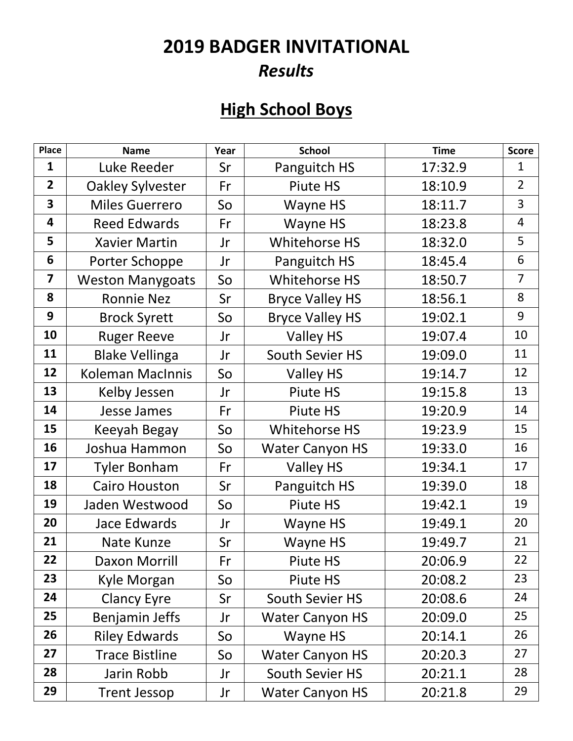### **2019 BADGER INVITATIONAL**  *Results*

### **High School Boys**

| Place                   | <b>Name</b>             | Year | <b>School</b>          | <b>Time</b> | <b>Score</b>   |
|-------------------------|-------------------------|------|------------------------|-------------|----------------|
| $\mathbf{1}$            | Luke Reeder             | Sr   | Panguitch HS           | 17:32.9     | $\mathbf{1}$   |
| $\overline{2}$          | <b>Oakley Sylvester</b> | Fr   | Piute HS               | 18:10.9     | $\overline{2}$ |
| $\overline{\mathbf{3}}$ | <b>Miles Guerrero</b>   | So   | Wayne HS               | 18:11.7     | 3              |
| $\overline{\mathbf{4}}$ | <b>Reed Edwards</b>     | Fr   | Wayne HS               | 18:23.8     | $\overline{4}$ |
| 5                       | <b>Xavier Martin</b>    | Jr   | Whitehorse HS          | 18:32.0     | 5              |
| 6                       | Porter Schoppe          | Jr   | Panguitch HS           | 18:45.4     | $6\,$          |
| $\overline{\mathbf{z}}$ | <b>Weston Manygoats</b> | So   | Whitehorse HS          | 18:50.7     | $\overline{7}$ |
| 8                       | <b>Ronnie Nez</b>       | Sr   | <b>Bryce Valley HS</b> | 18:56.1     | 8              |
| 9                       | <b>Brock Syrett</b>     | So   | <b>Bryce Valley HS</b> | 19:02.1     | 9              |
| 10                      | <b>Ruger Reeve</b>      | Jr   | Valley HS              | 19:07.4     | 10             |
| 11                      | <b>Blake Vellinga</b>   | Jr   | South Sevier HS        | 19:09.0     | 11             |
| 12                      | <b>Koleman MacInnis</b> | So   | <b>Valley HS</b>       | 19:14.7     | 12             |
| 13                      | Kelby Jessen            | Jr   | Piute HS               | 19:15.8     | 13             |
| 14                      | Jesse James             | Fr   | Piute HS               | 19:20.9     | 14             |
| 15                      | Keeyah Begay            | So   | <b>Whitehorse HS</b>   | 19:23.9     | 15             |
| 16                      | Joshua Hammon           | So   | <b>Water Canyon HS</b> | 19:33.0     | 16             |
| 17                      | <b>Tyler Bonham</b>     | Fr   | Valley HS              | 19:34.1     | 17             |
| 18                      | <b>Cairo Houston</b>    | Sr   | Panguitch HS           | 19:39.0     | 18             |
| 19                      | Jaden Westwood          | So   | Piute HS               | 19:42.1     | 19             |
| 20                      | Jace Edwards            | Jr   | Wayne HS               | 19:49.1     | 20             |
| 21                      | Nate Kunze              | Sr   | Wayne HS               | 19:49.7     | 21             |
| 22                      | Daxon Morrill           | Fr   | Piute HS               | 20:06.9     | 22             |
| 23                      | Kyle Morgan             | So   | Piute HS               | 20:08.2     | 23             |
| 24                      | <b>Clancy Eyre</b>      | Sr   | <b>South Sevier HS</b> | 20:08.6     | 24             |
| 25                      | Benjamin Jeffs          | Jr   | <b>Water Canyon HS</b> | 20:09.0     | 25             |
| 26                      | <b>Riley Edwards</b>    | So   | Wayne HS               | 20:14.1     | 26             |
| 27                      | <b>Trace Bistline</b>   | So   | <b>Water Canyon HS</b> | 20:20.3     | 27             |
| 28                      | Jarin Robb              | Jr   | South Sevier HS        | 20:21.1     | 28             |
| 29                      | <b>Trent Jessop</b>     | Jr   | <b>Water Canyon HS</b> | 20:21.8     | 29             |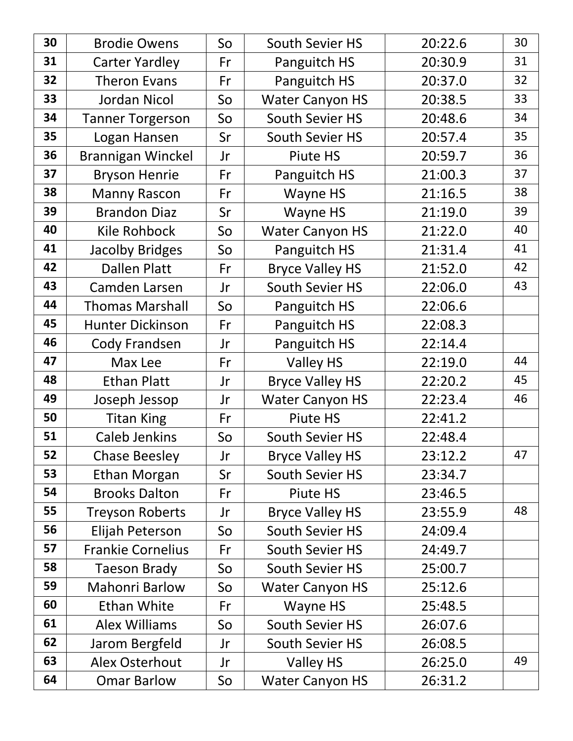| 30 | <b>Brodie Owens</b>      | So | South Sevier HS        | 20:22.6 | 30 |
|----|--------------------------|----|------------------------|---------|----|
| 31 | <b>Carter Yardley</b>    | Fr | Panguitch HS           | 20:30.9 | 31 |
| 32 | <b>Theron Evans</b>      | Fr | Panguitch HS           | 20:37.0 | 32 |
| 33 | <b>Jordan Nicol</b>      | So | <b>Water Canyon HS</b> | 20:38.5 | 33 |
| 34 | <b>Tanner Torgerson</b>  | So | South Sevier HS        | 20:48.6 | 34 |
| 35 | Logan Hansen             | Sr | South Sevier HS        | 20:57.4 | 35 |
| 36 | Brannigan Winckel        | Jr | Piute HS               | 20:59.7 | 36 |
| 37 | <b>Bryson Henrie</b>     | Fr | Panguitch HS           | 21:00.3 | 37 |
| 38 | <b>Manny Rascon</b>      | Fr | Wayne HS               | 21:16.5 | 38 |
| 39 | <b>Brandon Diaz</b>      | Sr | Wayne HS               | 21:19.0 | 39 |
| 40 | Kile Rohbock             | So | <b>Water Canyon HS</b> | 21:22.0 | 40 |
| 41 | <b>Jacolby Bridges</b>   | So | Panguitch HS           | 21:31.4 | 41 |
| 42 | <b>Dallen Platt</b>      | Fr | <b>Bryce Valley HS</b> | 21:52.0 | 42 |
| 43 | Camden Larsen            | Jr | South Sevier HS        | 22:06.0 | 43 |
| 44 | <b>Thomas Marshall</b>   | So | Panguitch HS           | 22:06.6 |    |
| 45 | <b>Hunter Dickinson</b>  | Fr | Panguitch HS           | 22:08.3 |    |
| 46 | Cody Frandsen            | Jr | Panguitch HS           | 22:14.4 |    |
| 47 | Max Lee                  | Fr | Valley HS              | 22:19.0 | 44 |
| 48 | <b>Ethan Platt</b>       | Jr | <b>Bryce Valley HS</b> | 22:20.2 | 45 |
| 49 | Joseph Jessop            | Jr | <b>Water Canyon HS</b> | 22:23.4 | 46 |
| 50 | <b>Titan King</b>        | Fr | Piute HS               | 22:41.2 |    |
| 51 | <b>Caleb Jenkins</b>     | So | South Sevier HS        | 22:48.4 |    |
| 52 | <b>Chase Beesley</b>     | Jr | <b>Bryce Valley HS</b> | 23:12.2 | 47 |
| 53 | <b>Ethan Morgan</b>      | Sr | South Sevier HS        | 23:34.7 |    |
| 54 | <b>Brooks Dalton</b>     | Fr | Piute HS               | 23:46.5 |    |
| 55 | <b>Treyson Roberts</b>   | Jr | <b>Bryce Valley HS</b> | 23:55.9 | 48 |
| 56 | Elijah Peterson          | So | South Sevier HS        | 24:09.4 |    |
| 57 | <b>Frankie Cornelius</b> | Fr | South Sevier HS        | 24:49.7 |    |
| 58 | <b>Taeson Brady</b>      | So | South Sevier HS        | 25:00.7 |    |
| 59 | <b>Mahonri Barlow</b>    | So | <b>Water Canyon HS</b> | 25:12.6 |    |
| 60 | <b>Ethan White</b>       | Fr | Wayne HS               | 25:48.5 |    |
| 61 | <b>Alex Williams</b>     | So | South Sevier HS        | 26:07.6 |    |
| 62 | Jarom Bergfeld           | Jr | South Sevier HS        | 26:08.5 |    |
| 63 | Alex Osterhout           | Jr | <b>Valley HS</b>       | 26:25.0 | 49 |
| 64 | <b>Omar Barlow</b>       | So | <b>Water Canyon HS</b> | 26:31.2 |    |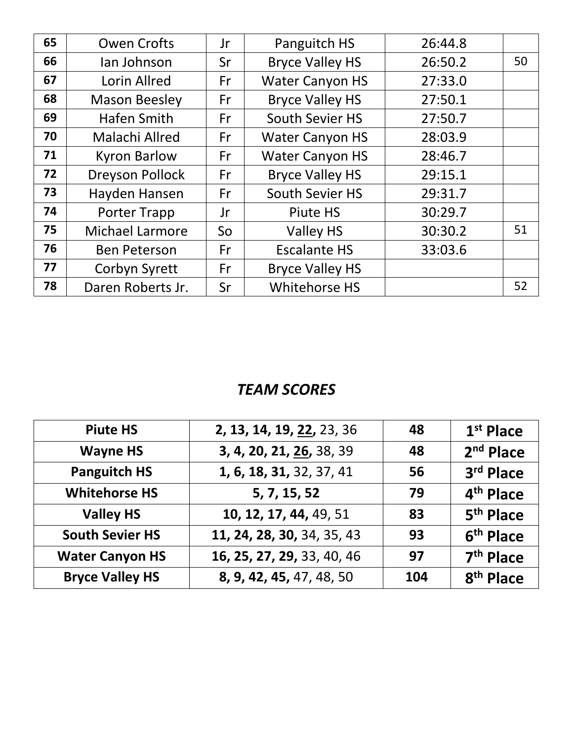| 65 | <b>Owen Crofts</b>     | Jr | Panguitch HS           | 26:44.8 |    |
|----|------------------------|----|------------------------|---------|----|
| 66 | lan Johnson            | Sr | <b>Bryce Valley HS</b> | 26:50.2 | 50 |
| 67 | Lorin Allred           | Fr | <b>Water Canyon HS</b> | 27:33.0 |    |
| 68 | <b>Mason Beesley</b>   | Fr | <b>Bryce Valley HS</b> | 27:50.1 |    |
| 69 | <b>Hafen Smith</b>     | Fr | South Sevier HS        | 27:50.7 |    |
| 70 | Malachi Allred         | Fr | <b>Water Canyon HS</b> | 28:03.9 |    |
| 71 | <b>Kyron Barlow</b>    | Fr | <b>Water Canyon HS</b> | 28:46.7 |    |
| 72 | <b>Dreyson Pollock</b> | Fr | <b>Bryce Valley HS</b> | 29:15.1 |    |
| 73 | Hayden Hansen          | Fr | South Sevier HS        | 29:31.7 |    |
| 74 | <b>Porter Trapp</b>    | Jr | Piute HS               | 30:29.7 |    |
| 75 | <b>Michael Larmore</b> | So | <b>Valley HS</b>       | 30:30.2 | 51 |
| 76 | <b>Ben Peterson</b>    | Fr | <b>Escalante HS</b>    | 33:03.6 |    |
| 77 | Corbyn Syrett          | Fr | <b>Bryce Valley HS</b> |         |    |
| 78 | Daren Roberts Jr.      | Sr | Whitehorse HS          |         | 52 |

| <b>Piute HS</b>        | 2, 13, 14, 19, 22, 23, 36  | 48  | $1st$ Place           |
|------------------------|----------------------------|-----|-----------------------|
| <b>Wayne HS</b>        | 3, 4, 20, 21, 26, 38, 39   | 48  | $2nd$ Place           |
| <b>Panguitch HS</b>    | 1, 6, 18, 31, 32, 37, 41   | 56  | 3rd Place             |
| <b>Whitehorse HS</b>   | 5, 7, 15, 52               | 79  | 4 <sup>th</sup> Place |
| <b>Valley HS</b>       | 10, 12, 17, 44, 49, 51     | 83  | 5 <sup>th</sup> Place |
| <b>South Sevier HS</b> | 11, 24, 28, 30, 34, 35, 43 | 93  | 6 <sup>th</sup> Place |
| <b>Water Canyon HS</b> | 16, 25, 27, 29, 33, 40, 46 | 97  | 7 <sup>th</sup> Place |
| <b>Bryce Valley HS</b> | 8, 9, 42, 45, 47, 48, 50   | 104 | 8 <sup>th</sup> Place |
|                        |                            |     |                       |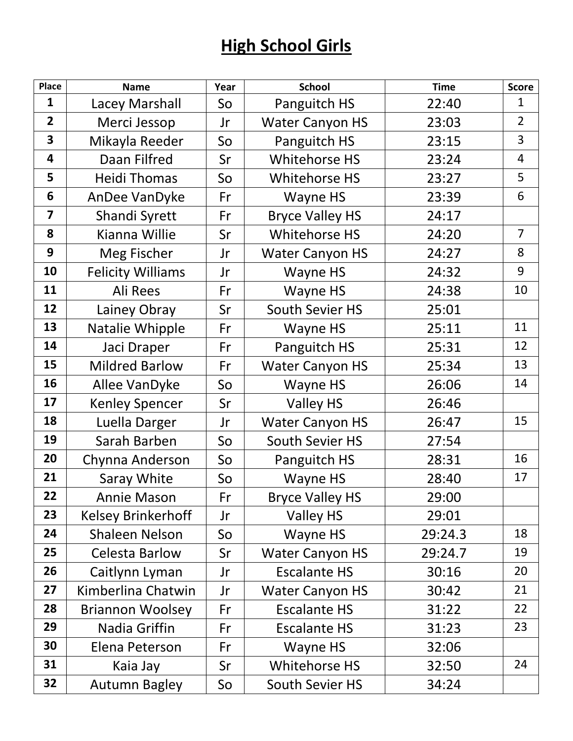## **High School Girls**

| <b>Place</b>            | <b>Name</b>               | Year | <b>School</b>          | <b>Time</b> | <b>Score</b>   |
|-------------------------|---------------------------|------|------------------------|-------------|----------------|
| $\mathbf{1}$            | Lacey Marshall            | So   | Panguitch HS           | 22:40       | $\mathbf{1}$   |
| $\overline{2}$          | Merci Jessop              | Jr   | <b>Water Canyon HS</b> | 23:03       | $\overline{2}$ |
| $\overline{\mathbf{3}}$ | Mikayla Reeder            | So   | Panguitch HS           | 23:15       | 3              |
| 4                       | Daan Filfred              | Sr   | Whitehorse HS          | 23:24       | $\overline{4}$ |
| 5                       | <b>Heidi Thomas</b>       | So   | Whitehorse HS          | 23:27       | 5              |
| 6                       | AnDee VanDyke             | Fr   | Wayne HS               | 23:39       | 6              |
| $\overline{7}$          | Shandi Syrett             | Fr   | <b>Bryce Valley HS</b> | 24:17       |                |
| 8                       | Kianna Willie             | Sr   | Whitehorse HS          | 24:20       | $\overline{7}$ |
| 9                       | Meg Fischer               | Jr   | <b>Water Canyon HS</b> | 24:27       | 8              |
| 10                      | <b>Felicity Williams</b>  | Jr   | Wayne HS               | 24:32       | 9              |
| 11                      | Ali Rees                  | Fr   | Wayne HS               | 24:38       | 10             |
| 12                      | Lainey Obray              | Sr   | South Sevier HS        | 25:01       |                |
| 13                      | Natalie Whipple           | Fr   | Wayne HS               | 25:11       | 11             |
| 14                      | Jaci Draper               | Fr   | Panguitch HS           | 25:31       | 12             |
| 15                      | <b>Mildred Barlow</b>     | Fr   | <b>Water Canyon HS</b> | 25:34       | 13             |
| 16                      | Allee VanDyke             | So   | Wayne HS               | 26:06       | 14             |
| 17                      | <b>Kenley Spencer</b>     | Sr   | Valley HS              | 26:46       |                |
| 18                      | Luella Darger             | Jr   | <b>Water Canyon HS</b> | 26:47       | 15             |
| 19                      | Sarah Barben              | So   | South Sevier HS        | 27:54       |                |
| 20                      | Chynna Anderson           | So   | Panguitch HS           | 28:31       | 16             |
| 21                      | Saray White               | So   | Wayne HS               | 28:40       | 17             |
| 22                      | <b>Annie Mason</b>        | Fr   | <b>Bryce Valley HS</b> | 29:00       |                |
| 23                      | <b>Kelsey Brinkerhoff</b> | Jr   | <b>Valley HS</b>       | 29:01       |                |
| 24                      | <b>Shaleen Nelson</b>     | So   | Wayne HS               | 29:24.3     | 18             |
| 25                      | <b>Celesta Barlow</b>     | Sr   | <b>Water Canyon HS</b> | 29:24.7     | 19             |
| 26                      | Caitlynn Lyman            | Jr   | <b>Escalante HS</b>    | 30:16       | 20             |
| 27                      | Kimberlina Chatwin        | Jr   | <b>Water Canyon HS</b> | 30:42       | 21             |
| 28                      | <b>Briannon Woolsey</b>   | Fr   | <b>Escalante HS</b>    | 31:22       | 22             |
| 29                      | Nadia Griffin             | Fr   | <b>Escalante HS</b>    | 31:23       | 23             |
| 30                      | Elena Peterson            | Fr   | Wayne HS               | 32:06       |                |
| 31                      | Kaia Jay                  | Sr   | Whitehorse HS          | 32:50       | 24             |
| 32                      | <b>Autumn Bagley</b>      | So   | South Sevier HS        | 34:24       |                |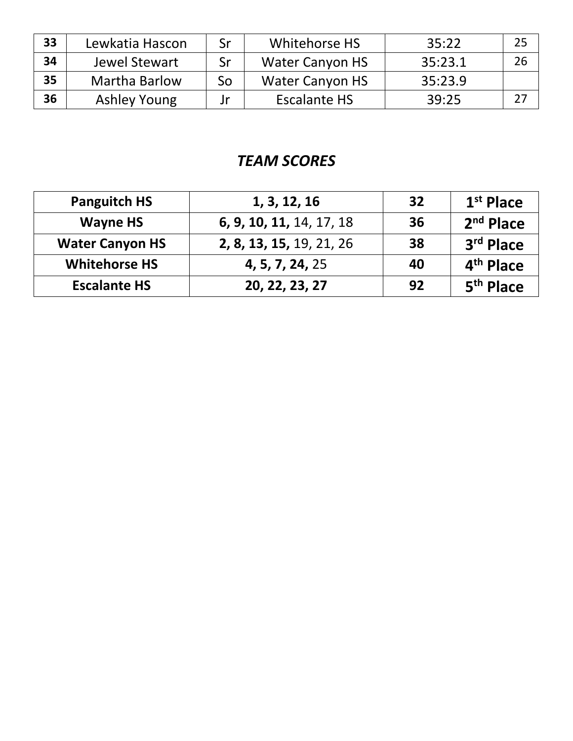| 33 | Lewkatia Hascon     | Sr | Whitehorse HS          | 35:22   | 25 |
|----|---------------------|----|------------------------|---------|----|
| 34 | Jewel Stewart       | Sr | <b>Water Canyon HS</b> | 35:23.1 | 26 |
| 35 | Martha Barlow       | So | <b>Water Canyon HS</b> | 35:23.9 |    |
| 36 | <b>Ashley Young</b> | Jr | <b>Escalante HS</b>    | 39:25   |    |

| <b>Panguitch HS</b>    | 1, 3, 12, 16             | 32 | $1st$ Place           |
|------------------------|--------------------------|----|-----------------------|
| <b>Wayne HS</b>        | 6, 9, 10, 11, 14, 17, 18 | 36 | $2nd$ Place           |
| <b>Water Canyon HS</b> | 2, 8, 13, 15, 19, 21, 26 | 38 | 3rd Place             |
| <b>Whitehorse HS</b>   | 4, 5, 7, 24, 25          | 40 | 4 <sup>th</sup> Place |
| <b>Escalante HS</b>    | 20, 22, 23, 27           | 92 | 5 <sup>th</sup> Place |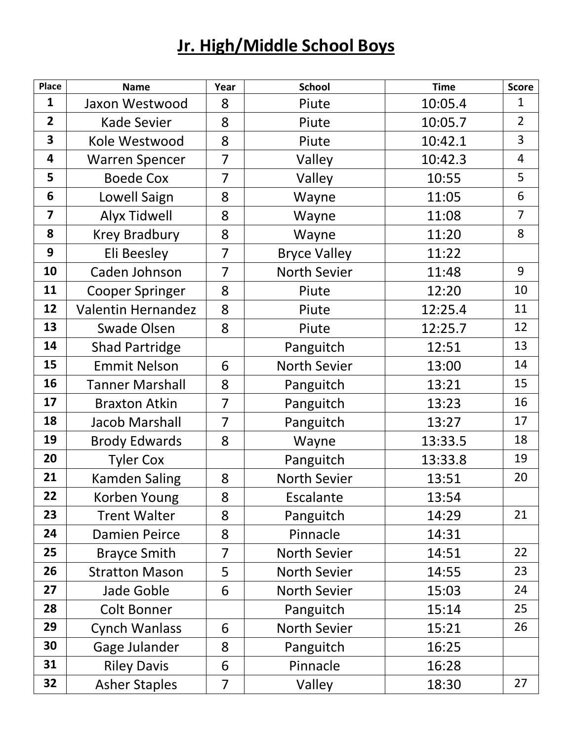## **Jr. High/Middle School Boys**

| <b>Place</b>            | <b>Name</b>               | Year           | <b>School</b>       | <b>Time</b> | <b>Score</b>   |
|-------------------------|---------------------------|----------------|---------------------|-------------|----------------|
| $\mathbf{1}$            | Jaxon Westwood            | 8              | Piute               | 10:05.4     | $\mathbf{1}$   |
| $\overline{2}$          | <b>Kade Sevier</b>        | 8              | Piute               | 10:05.7     | $\overline{2}$ |
| $\overline{\mathbf{3}}$ | Kole Westwood             | 8              | Piute               | 10:42.1     | 3              |
| 4                       | <b>Warren Spencer</b>     | 7              | Valley              | 10:42.3     | $\overline{4}$ |
| 5                       | <b>Boede Cox</b>          | $\overline{7}$ | Valley              | 10:55       | 5              |
| 6                       | Lowell Saign              | 8              | Wayne               | 11:05       | 6              |
| $\overline{\mathbf{z}}$ | <b>Alyx Tidwell</b>       | 8              | Wayne               | 11:08       | $\overline{7}$ |
| 8                       | <b>Krey Bradbury</b>      | 8              | Wayne               | 11:20       | 8              |
| 9                       | Eli Beesley               | $\overline{7}$ | <b>Bryce Valley</b> | 11:22       |                |
| 10                      | Caden Johnson             | $\overline{7}$ | North Sevier        | 11:48       | 9              |
| 11                      | <b>Cooper Springer</b>    | 8              | Piute               | 12:20       | 10             |
| 12                      | <b>Valentin Hernandez</b> | 8              | Piute               | 12:25.4     | 11             |
| 13                      | <b>Swade Olsen</b>        | 8              | Piute               | 12:25.7     | 12             |
| 14                      | <b>Shad Partridge</b>     |                | Panguitch           | 12:51       | 13             |
| 15                      | <b>Emmit Nelson</b>       | 6              | <b>North Sevier</b> | 13:00       | 14             |
| 16                      | <b>Tanner Marshall</b>    | 8              | Panguitch           | 13:21       | 15             |
| 17                      | <b>Braxton Atkin</b>      | $\overline{7}$ | Panguitch           | 13:23       | 16             |
| 18                      | <b>Jacob Marshall</b>     | 7              | Panguitch           | 13:27       | 17             |
| 19                      | <b>Brody Edwards</b>      | 8              | Wayne               | 13:33.5     | 18             |
| 20                      | <b>Tyler Cox</b>          |                | Panguitch           | 13:33.8     | 19             |
| 21                      | <b>Kamden Saling</b>      | 8              | North Sevier        | 13:51       | 20             |
| 22                      | Korben Young              | 8              | Escalante           | 13:54       |                |
| 23                      | <b>Trent Walter</b>       | 8              | Panguitch           | 14:29       | 21             |
| 24                      | <b>Damien Peirce</b>      | 8              | Pinnacle            | 14:31       |                |
| 25                      | <b>Brayce Smith</b>       | 7              | <b>North Sevier</b> | 14:51       | 22             |
| 26                      | <b>Stratton Mason</b>     | 5              | <b>North Sevier</b> | 14:55       | 23             |
| 27                      | Jade Goble                | 6              | <b>North Sevier</b> | 15:03       | 24             |
| 28                      | <b>Colt Bonner</b>        |                | Panguitch           | 15:14       | 25             |
| 29                      | <b>Cynch Wanlass</b>      | 6              | <b>North Sevier</b> | 15:21       | 26             |
| 30                      | Gage Julander             | 8              | Panguitch           | 16:25       |                |
| 31                      | <b>Riley Davis</b>        | 6              | Pinnacle            | 16:28       |                |
| 32                      | <b>Asher Staples</b>      | 7              | Valley              | 18:30       | 27             |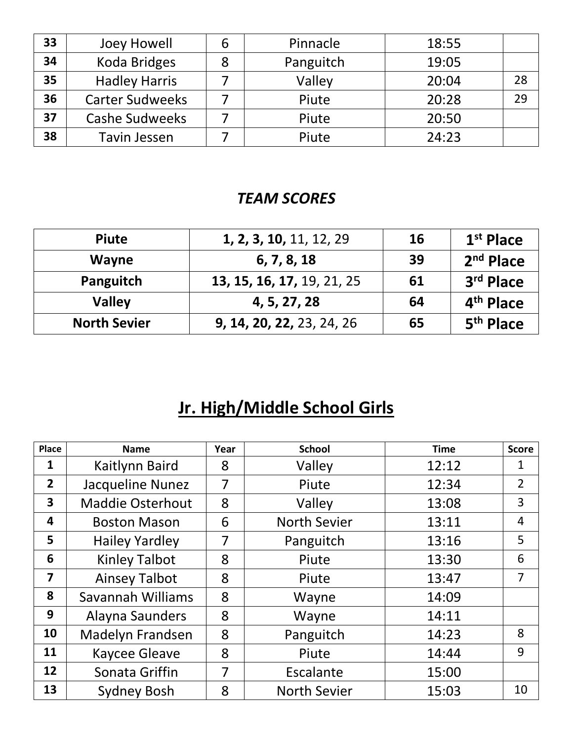| 33 | Joey Howell            | b | Pinnacle  | 18:55 |    |
|----|------------------------|---|-----------|-------|----|
| 34 | Koda Bridges           | 8 | Panguitch | 19:05 |    |
| 35 | <b>Hadley Harris</b>   |   | Valley    | 20:04 | 28 |
| 36 | <b>Carter Sudweeks</b> |   | Piute     | 20:28 | 29 |
| 37 | <b>Cashe Sudweeks</b>  |   | Piute     | 20:50 |    |
| 38 | Tavin Jessen           |   | Piute     | 24:23 |    |

| <b>Piute</b>        | 1, 2, 3, 10, 11, 12, 29    | 16 | $1st$ Place           |
|---------------------|----------------------------|----|-----------------------|
| <b>Wayne</b>        | 6, 7, 8, 18                | 39 | $2nd$ Place           |
| Panguitch           | 13, 15, 16, 17, 19, 21, 25 | 61 | 3rd Place             |
| <b>Valley</b>       | 4, 5, 27, 28               | 64 | 4 <sup>th</sup> Place |
| <b>North Sevier</b> | 9, 14, 20, 22, 23, 24, 26  | 65 | 5 <sup>th</sup> Place |

# **Jr. High/Middle School Girls**

| <b>Place</b>            | <b>Name</b>             | Year | <b>School</b>       | <b>Time</b> | <b>Score</b>   |
|-------------------------|-------------------------|------|---------------------|-------------|----------------|
| 1                       | Kaitlynn Baird          | 8    | Valley              | 12:12       | 1              |
| $\overline{2}$          | Jacqueline Nunez        | 7    | Piute               | 12:34       | $\overline{2}$ |
| $\overline{\mathbf{3}}$ | <b>Maddie Osterhout</b> | 8    | Valley              | 13:08       | 3              |
| 4                       | <b>Boston Mason</b>     | 6    | <b>North Sevier</b> | 13:11       | $\overline{4}$ |
| 5                       | <b>Hailey Yardley</b>   | 7    | Panguitch           | 13:16       | 5              |
| 6                       | <b>Kinley Talbot</b>    | 8    | Piute               | 13:30       | 6              |
| $\overline{\mathbf{z}}$ | <b>Ainsey Talbot</b>    | 8    | Piute               | 13:47       | $\overline{7}$ |
| 8                       | Savannah Williams       | 8    | Wayne               | 14:09       |                |
| 9                       | Alayna Saunders         | 8    | Wayne               | 14:11       |                |
| 10                      | <b>Madelyn Frandsen</b> | 8    | Panguitch           | 14:23       | 8              |
| 11                      | <b>Kaycee Gleave</b>    | 8    | Piute               | 14:44       | 9              |
| 12                      | Sonata Griffin          | 7    | Escalante           | 15:00       |                |
| 13                      | <b>Sydney Bosh</b>      | 8    | <b>North Sevier</b> | 15:03       | 10             |